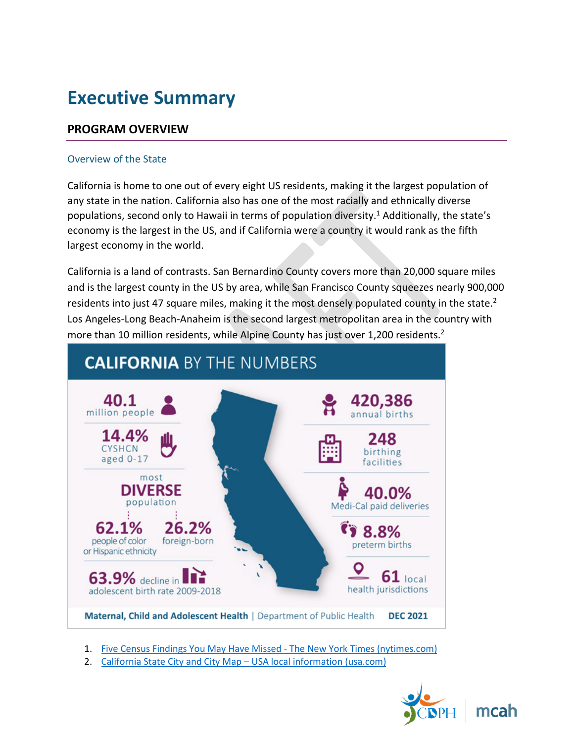# **Executive Summary**

## **PROGRAM OVERVIEW**

#### Overview of the State

California is home to one out of every eight US residents, making it the largest population of any state in the nation. California also has one of the most racially and ethnically diverse populations, second only to Hawaii in terms of population diversity.<sup>1</sup> Additionally, the state's economy is the largest in the US, and if California were a country it would rank as the fifth largest economy in the world.

California is a land of contrasts. San Bernardino County covers more than 20,000 square miles and is the largest county in the US by area, while San Francisco County squeezes nearly 900,000 residents into just 47 square miles, making it the most densely populated county in the state.<sup>2</sup> Los Angeles-Long Beach-Anaheim is the second largest metropolitan area in the country with more than 10 million residents, while Alpine County has just over 1,200 residents.<sup>2</sup>



1. [Five Census Findings You May Have Missed - The New York Times \(nytimes.com\)](https://www.nytimes.com/2021/08/17/us/ca-census-findings.html)

2. California State City and City Map - USA local information (usa.com)

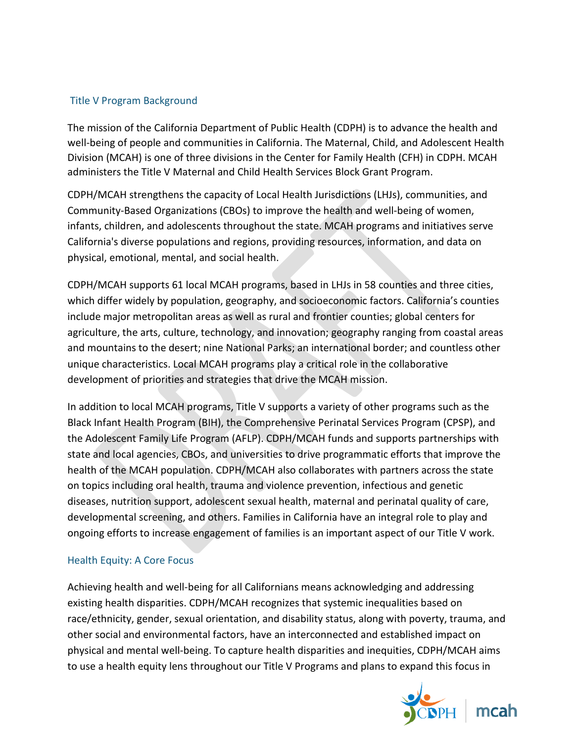### Title V Program Background

The mission of the California Department of Public Health (CDPH) is to advance the health and well-being of people and communities in California. The Maternal, Child, and Adolescent Health Division (MCAH) is one of three divisions in the Center for Family Health (CFH) in CDPH. MCAH administers the Title V Maternal and Child Health Services Block Grant Program.

CDPH/MCAH strengthens the capacity of Local Health Jurisdictions (LHJs), communities, and Community-Based Organizations (CBOs) to improve the health and well-being of women, infants, children, and adolescents throughout the state. MCAH programs and initiatives serve California's diverse populations and regions, providing resources, information, and data on physical, emotional, mental, and social health.

CDPH/MCAH supports 61 local MCAH programs, based in LHJs in 58 counties and three cities, which differ widely by population, geography, and socioeconomic factors. California's counties include major metropolitan areas as well as rural and frontier counties; global centers for agriculture, the arts, culture, technology, and innovation; geography ranging from coastal areas and mountains to the desert; nine National Parks; an international border; and countless other unique characteristics. Local MCAH programs play a critical role in the collaborative development of priorities and strategies that drive the MCAH mission.

In addition to local MCAH programs, Title V supports a variety of other programs such as the Black Infant Health Program (BIH), the Comprehensive Perinatal Services Program (CPSP), and the Adolescent Family Life Program (AFLP). CDPH/MCAH funds and supports partnerships with state and local agencies, CBOs, and universities to drive programmatic efforts that improve the health of the MCAH population. CDPH/MCAH also collaborates with partners across the state on topics including oral health, trauma and violence prevention, infectious and genetic diseases, nutrition support, adolescent sexual health, maternal and perinatal quality of care, developmental screening, and others. Families in California have an integral role to play and ongoing efforts to increase engagement of families is an important aspect of our Title V work.

#### Health Equity: A Core Focus

Achieving health and well-being for all Californians means acknowledging and addressing existing health disparities. CDPH/MCAH recognizes that systemic inequalities based on race/ethnicity, gender, sexual orientation, and disability status, along with poverty, trauma, and other social and environmental factors, have an interconnected and established impact on physical and mental well-being. To capture health disparities and inequities, CDPH/MCAH aims to use a health equity lens throughout our Title V Programs and plans to expand this focus in

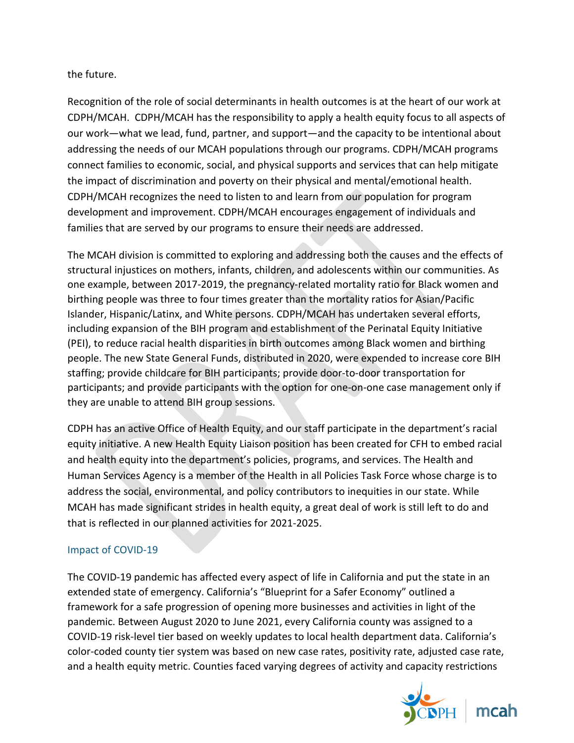### the future.

Recognition of the role of social determinants in health outcomes is at the heart of our work at CDPH/MCAH. CDPH/MCAH has the responsibility to apply a health equity focus to all aspects of our work—what we lead, fund, partner, and support—and the capacity to be intentional about addressing the needs of our MCAH populations through our programs. CDPH/MCAH programs connect families to economic, social, and physical supports and services that can help mitigate the impact of discrimination and poverty on their physical and mental/emotional health. CDPH/MCAH recognizes the need to listen to and learn from our population for program development and improvement. CDPH/MCAH encourages engagement of individuals and families that are served by our programs to ensure their needs are addressed.

The MCAH division is committed to exploring and addressing both the causes and the effects of structural injustices on mothers, infants, children, and adolescents within our communities. As one example, between 2017-2019, the pregnancy-related mortality ratio for Black women and birthing people was three to four times greater than the mortality ratios for Asian/Pacific Islander, Hispanic/Latinx, and White persons. CDPH/MCAH has undertaken several efforts, including expansion of the BIH program and establishment of the Perinatal Equity Initiative (PEI), to reduce racial health disparities in birth outcomes among Black women and birthing people. The new State General Funds, distributed in 2020, were expended to increase core BIH staffing; provide childcare for BIH participants; provide door-to-door transportation for participants; and provide participants with the option for one-on-one case management only if they are unable to attend BIH group sessions.

CDPH has an active Office of Health Equity, and our staff participate in the department's racial equity initiative. A new Health Equity Liaison position has been created for CFH to embed racial and health equity into the department's policies, programs, and services. The Health and Human Services Agency is a member of the Health in all Policies Task Force whose charge is to address the social, environmental, and policy contributors to inequities in our state. While MCAH has made significant strides in health equity, a great deal of work is still left to do and that is reflected in our planned activities for 2021-2025.

## Impact of COVID-19

The COVID-19 pandemic has affected every aspect of life in California and put the state in an extended state of emergency. California's "Blueprint for a Safer Economy" outlined a framework for a safe progression of opening more businesses and activities in light of the pandemic. Between August 2020 to June 2021, every California county was assigned to a COVID-19 risk-level tier based on weekly updates to local health department data. California's color-coded county tier system was based on new case rates, positivity rate, adjusted case rate, and a health equity metric. Counties faced varying degrees of activity and capacity restrictions

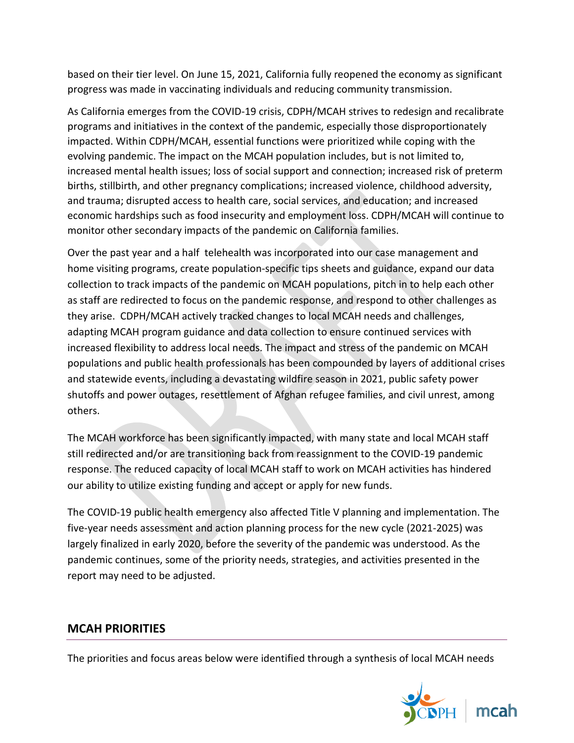based on their tier level. On June 15, 2021, California fully reopened the economy as significant progress was made in vaccinating individuals and reducing community transmission.

As California emerges from the COVID-19 crisis, CDPH/MCAH strives to redesign and recalibrate programs and initiatives in the context of the pandemic, especially those disproportionately impacted. Within CDPH/MCAH, essential functions were prioritized while coping with the evolving pandemic. The impact on the MCAH population includes, but is not limited to, increased mental health issues; loss of social support and connection; increased risk of preterm births, stillbirth, and other pregnancy complications; increased violence, childhood adversity, and trauma; disrupted access to health care, social services, and education; and increased economic hardships such as food insecurity and employment loss. CDPH/MCAH will continue to monitor other secondary impacts of the pandemic on California families.

Over the past year and a half telehealth was incorporated into our case management and home visiting programs, create population-specific tips sheets and guidance, expand our data collection to track impacts of the pandemic on MCAH populations, pitch in to help each other as staff are redirected to focus on the pandemic response, and respond to other challenges as they arise. CDPH/MCAH actively tracked changes to local MCAH needs and challenges, adapting MCAH program guidance and data collection to ensure continued services with increased flexibility to address local needs. The impact and stress of the pandemic on MCAH populations and public health professionals has been compounded by layers of additional crises and statewide events, including a devastating wildfire season in 2021, public safety power shutoffs and power outages, resettlement of Afghan refugee families, and civil unrest, among others.

The MCAH workforce has been significantly impacted, with many state and local MCAH staff still redirected and/or are transitioning back from reassignment to the COVID-19 pandemic response. The reduced capacity of local MCAH staff to work on MCAH activities has hindered our ability to utilize existing funding and accept or apply for new funds.

The COVID-19 public health emergency also affected Title V planning and implementation. The five-year needs assessment and action planning process for the new cycle (2021-2025) was largely finalized in early 2020, before the severity of the pandemic was understood. As the pandemic continues, some of the priority needs, strategies, and activities presented in the report may need to be adjusted.

## **MCAH PRIORITIES**

The priorities and focus areas below were identified through a synthesis of local MCAH needs

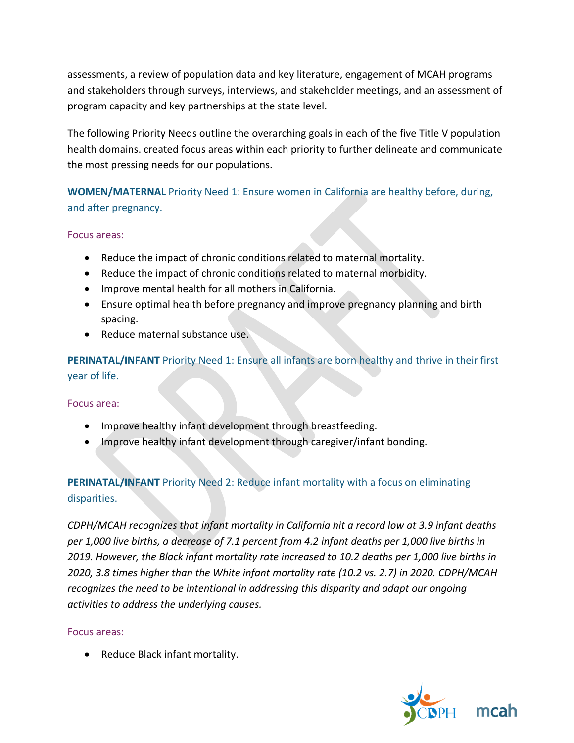assessments, a review of population data and key literature, engagement of MCAH programs and stakeholders through surveys, interviews, and stakeholder meetings, and an assessment of program capacity and key partnerships at the state level.

The following Priority Needs outline the overarching goals in each of the five Title V population health domains. created focus areas within each priority to further delineate and communicate the most pressing needs for our populations.

**WOMEN/MATERNAL** Priority Need 1: Ensure women in California are healthy before, during, and after pregnancy.

#### Focus areas:

- Reduce the impact of chronic conditions related to maternal mortality.
- Reduce the impact of chronic conditions related to maternal morbidity.
- Improve mental health for all mothers in California.
- Ensure optimal health before pregnancy and improve pregnancy planning and birth spacing.
- Reduce maternal substance use.

**PERINATAL/INFANT** Priority Need 1: Ensure all infants are born healthy and thrive in their first year of life.

Focus area:

- Improve healthy infant development through breastfeeding.
- Improve healthy infant development through caregiver/infant bonding.

## **PERINATAL/INFANT** Priority Need 2: Reduce infant mortality with a focus on eliminating disparities.

*CDPH/MCAH recognizes that infant mortality in California hit a record low at 3.9 infant deaths per 1,000 live births, a decrease of 7.1 percent from 4.2 infant deaths per 1,000 live births in 2019. However, the Black infant mortality rate increased to 10.2 deaths per 1,000 live births in 2020, 3.8 times higher than the White infant mortality rate (10.2 vs. 2.7) in 2020. CDPH/MCAH recognizes the need to be intentional in addressing this disparity and adapt our ongoing activities to address the underlying causes.*

Focus areas:

• Reduce Black infant mortality.

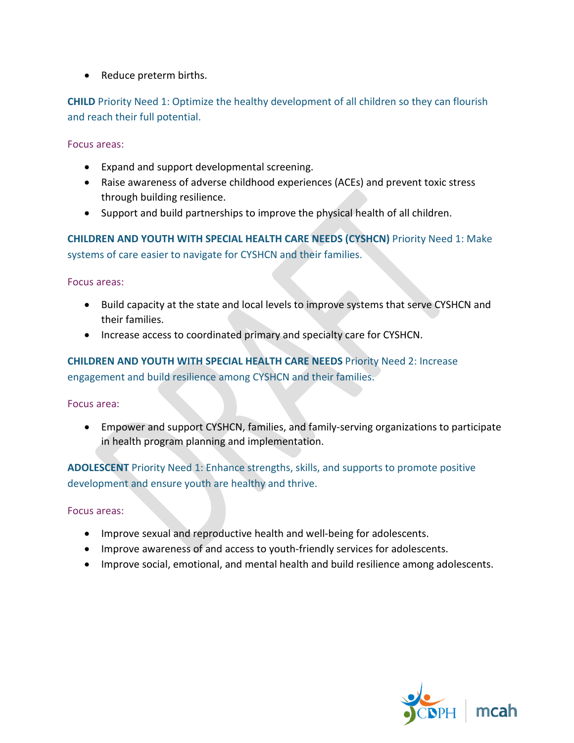• Reduce preterm births.

**CHILD** Priority Need 1: Optimize the healthy development of all children so they can flourish and reach their full potential.

Focus areas:

- Expand and support developmental screening.
- Raise awareness of adverse childhood experiences (ACEs) and prevent toxic stress through building resilience.
- Support and build partnerships to improve the physical health of all children.

**CHILDREN AND YOUTH WITH SPECIAL HEALTH CARE NEEDS (CYSHCN)** Priority Need 1: Make systems of care easier to navigate for CYSHCN and their families.

Focus areas:

- Build capacity at the state and local levels to improve systems that serve CYSHCN and their families.
- Increase access to coordinated primary and specialty care for CYSHCN.

**CHILDREN AND YOUTH WITH SPECIAL HEALTH CARE NEEDS** Priority Need 2: Increase engagement and build resilience among CYSHCN and their families.

Focus area:

• Empower and support CYSHCN, families, and family-serving organizations to participate in health program planning and implementation.

**ADOLESCENT** Priority Need 1: Enhance strengths, skills, and supports to promote positive development and ensure youth are healthy and thrive.

Focus areas:

- Improve sexual and reproductive health and well-being for adolescents.
- Improve awareness of and access to youth-friendly services for adolescents.
- Improve social, emotional, and mental health and build resilience among adolescents.

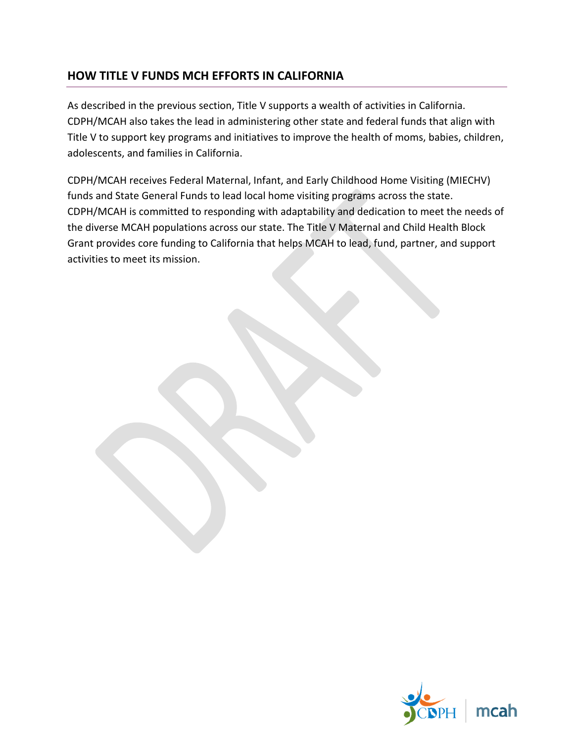# **HOW TITLE V FUNDS MCH EFFORTS IN CALIFORNIA**

As described in the previous section, Title V supports a wealth of activities in California. CDPH/MCAH also takes the lead in administering other state and federal funds that align with Title V to support key programs and initiatives to improve the health of moms, babies, children, adolescents, and families in California.

CDPH/MCAH receives Federal Maternal, Infant, and Early Childhood Home Visiting (MIECHV) funds and State General Funds to lead local home visiting programs across the state. CDPH/MCAH is committed to responding with adaptability and dedication to meet the needs of the diverse MCAH populations across our state. The Title V Maternal and Child Health Block Grant provides core funding to California that helps MCAH to lead, fund, partner, and support activities to meet its mission.